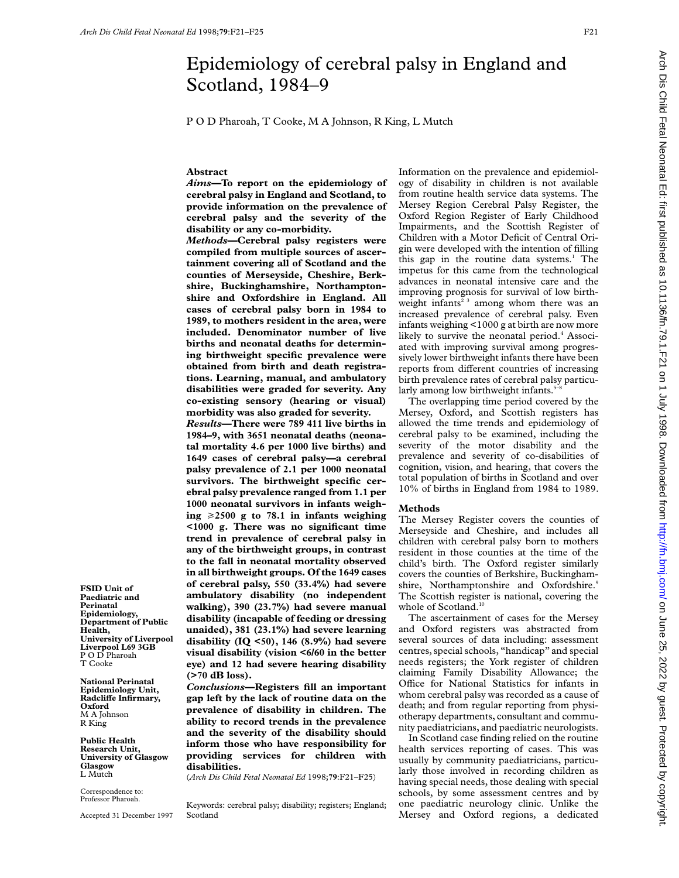# Epidemiology of cerebral palsy in England and Scotland, 1984–9

P O D Pharoah, T Cooke, M A Johnson, R King, L Mutch

## **Abstract**

*Aims—***To report on the epidemiology of cerebral palsy in England and Scotland, to provide information on the prevalence of cerebral palsy and the severity of the disability or any co-morbidity.**

*Methods***—Cerebral palsy registers were compiled from multiple sources of ascertainment covering all of Scotland and the counties of Merseyside, Cheshire, Berkshire, Buckinghamshire, Northamptonshire and Oxfordshire in England. All cases of cerebral palsy born in 1984 to 1989, to mothers resident in the area, were included. Denominator number of live births and neonatal deaths for determining birthweight specific prevalence were obtained from birth and death registrations. Learning, manual, and ambulatory disabilities were graded for severity. Any co-existing sensory (hearing or visual) morbidity was also graded for severity.**

*Results***—There were 789 411 live births in 1984–9, with 3651 neonatal deaths (neonatal mortality 4.6 per 1000 live births) and 1649 cases of cerebral palsy—a cerebral palsy prevalence of 2.1 per 1000 neonatal survivors. The birthweight specific cerebral palsy prevalence ranged from 1.1 per 1000 neonatal survivors in infants weigh**ing  $\geq 2500$  g to 78.1 in infants weighing **<1000 g. There was no significant time trend in prevalence of cerebral palsy in any of the birthweight groups, in contrast to the fall in neonatal mortality observed in all birthweight groups. Of the 1649 cases of cerebral palsy, 550 (33.4%) had severe ambulatory disability (no independent walking), 390 (23.7%) had severe manual disability (incapable of feeding or dressing unaided), 381 (23.1%) had severe learning disability (IQ <50), 146 (8.9%) had severe visual disability (vision <6/60 in the better eye) and 12 had severe hearing disability (>70 dB loss).**

*Conclusions***—Registers fill an important gap left by the lack of routine data on the prevalence of disability in children. The ability to record trends in the prevalence and the severity of the disability should inform those who have responsibility for providing services for children with disabilities.**

(*Arch Dis Child Fetal Neonatal Ed* 1998;**79**:F21–F25)

Keywords: cerebral palsy; disability; registers; England; Scotland

Information on the prevalence and epidemiology of disability in children is not available from routine health service data systems. The Mersey Region Cerebral Palsy Register, the Oxford Region Register of Early Childhood Impairments, and the Scottish Register of Children with a Motor Deficit of Central Origin were developed with the intention of filling this gap in the routine data systems.<sup>1</sup> The impetus for this came from the technological advances in neonatal intensive care and the improving prognosis for survival of low birthweight infants<sup> $23$ </sup> among whom there was an increased prevalence of cerebral palsy. Even infants weighing <1000 g at birth are now more likely to survive the neonatal period.<sup>4</sup> Associated with improving survival among progressively lower birthweight infants there have been reports from different countries of increasing birth prevalence rates of cerebral palsy particularly among low birthweight infants.<sup>5-1</sup>

The overlapping time period covered by the Mersey, Oxford, and Scottish registers has allowed the time trends and epidemiology of cerebral palsy to be examined, including the severity of the motor disability and the prevalence and severity of co-disabilities of cognition, vision, and hearing, that covers the total population of births in Scotland and over 10% of births in England from 1984 to 1989.

#### **Methods**

The Mersey Register covers the counties of Merseyside and Cheshire, and includes all children with cerebral palsy born to mothers resident in those counties at the time of the child's birth. The Oxford register similarly covers the counties of Berkshire, Buckinghamshire, Northamptonshire and Oxfordshire.9 The Scottish register is national, covering the whole of Scotland.<sup>10</sup>

The ascertainment of cases for the Mersey and Oxford registers was abstracted from several sources of data including: assessment centres, special schools, "handicap" and special needs registers; the York register of children claiming Family Disability Allowance; the Office for National Statistics for infants in whom cerebral palsy was recorded as a cause of death; and from regular reporting from physiotherapy departments, consultant and community paediatricians, and paediatric neurologists.

In Scotland case finding relied on the routine health services reporting of cases. This was usually by community paediatricians, particularly those involved in recording children as having special needs, those dealing with special schools, by some assessment centres and by one paediatric neurology clinic. Unlike the Mersey and Oxford regions, a dedicated

**FSID Unit of Paediatric and Perinatal Epidemiology, Department of Public Health, University of Liverpool Liverpool L69 3GB** P O D Pharoah T Cooke

**National Perinatal Epidemiology Unit, RadcliVe Infirmary, Oxford** M A Johnson R King

**Public Health Research Unit, University of Glasgow Glasgow** L Mutch

Correspondence to: Professor Pharoah.

Accepted 31 December 1997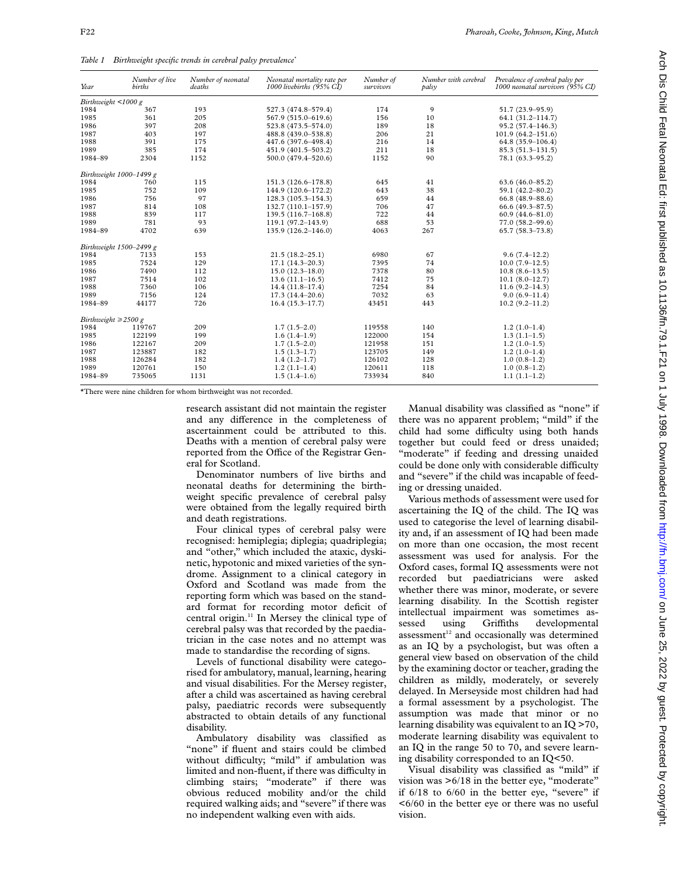*Table 1 Birthweight specific trends in cerebral palsy prevalence\**

| Year                      | Number of live<br>births | Number of neonatal<br>deaths | Neonatal mortality rate per<br>1000 livebirths (95% CI) | Number of<br>survivors | Number with cerebral<br>palsy | Prevalence of cerebral palsy per<br>1000 neonatal survivors (95% CI) |
|---------------------------|--------------------------|------------------------------|---------------------------------------------------------|------------------------|-------------------------------|----------------------------------------------------------------------|
| Birthweight <1000 g       |                          |                              |                                                         |                        |                               |                                                                      |
| 1984                      | 367                      | 193                          | 527.3 (474.8-579.4)                                     | 174                    | 9                             | 51.7 (23.9-95.9)                                                     |
| 1985                      | 361                      | 205                          | 567.9 (515.0-619.6)                                     | 156                    | 10                            | $64.1(31.2 - 114.7)$                                                 |
| 1986                      | 397                      | 208                          | 523.8 (473.5-574.0)                                     | 189                    | 18                            | $95.2(57.4 - 146.3)$                                                 |
| 1987                      | 403                      | 197                          | 488.8 (439.0-538.8)                                     | 206                    | 21                            | $101.9(64.2 - 151.6)$                                                |
| 1988                      | 391                      | 175                          | 447.6 (397.6-498.4)                                     | 216                    | 14                            | $64.8(35.9-106.4)$                                                   |
| 1989                      | 385                      | 174                          | 451.9 (401.5-503.2)                                     | 211                    | 18                            | $85.3(51.3 - 131.5)$                                                 |
| 1984-89                   | 2304                     | 1152                         | 500.0 (479.4-520.6)                                     | 1152                   | 90                            | $78.1(63.3 - 95.2)$                                                  |
|                           | Birthweight 1000-1499 g  |                              |                                                         |                        |                               |                                                                      |
| 1984                      | 760                      | 115                          | 151.3 (126.6-178.8)                                     | 645                    | 41                            | $63.6(46.0 - 85.2)$                                                  |
| 1985                      | 752                      | 109                          | 144.9 (120.6-172.2)                                     | 643                    | 38                            | 59.1 (42.2-80.2)                                                     |
| 1986                      | 756                      | 97                           | $128.3(105.3 - 154.3)$                                  | 659                    | 44                            | $66.8(48.9 - 88.6)$                                                  |
| 1987                      | 814                      | 108                          | 132.7 (110.1-157.9)                                     | 706                    | 47                            | $66.6(49.3 - 87.5)$                                                  |
| 1988                      | 839                      | 117                          | $139.5(116.7-168.8)$                                    | 722                    | 44                            | $60.9(44.6 - 81.0)$                                                  |
| 1989                      | 781                      | 93                           | $119.1(97.2 - 143.9)$                                   | 688                    | 53                            | $77.0(58.2 - 99.6)$                                                  |
| 1984-89                   | 4702                     | 639                          | 135.9 (126.2-146.0)                                     | 4063                   | 267                           | $65.7(58.3 - 73.8)$                                                  |
|                           | Birthweight 1500-2499 g  |                              |                                                         |                        |                               |                                                                      |
| 1984                      | 7133                     | 153                          | $21.5(18.2 - 25.1)$                                     | 6980                   | 67                            | $9.6(7.4-12.2)$                                                      |
| 1985                      | 7524                     | 129                          | $17.1(14.3-20.3)$                                       | 7395                   | 74                            | $10.0(7.9-12.5)$                                                     |
| 1986                      | 7490                     | 112                          | $15.0(12.3 - 18.0)$                                     | 7378                   | 80                            | $10.8(8.6-13.5)$                                                     |
| 1987                      | 7514                     | 102                          | $13.6(11.1-16.5)$                                       | 7412                   | 75                            | $10.1(8.0-12.7)$                                                     |
| 1988                      | 7360                     | 106                          | $14.4(11.8-17.4)$                                       | 7254                   | 84                            | $11.6(9.2 - 14.3)$                                                   |
| 1989                      | 7156                     | 124                          | $17.3(14.4 - 20.6)$                                     | 7032                   | 63                            | $9.0(6.9-11.4)$                                                      |
| 1984-89                   | 44177                    | 726                          | $16.4(15.3 - 17.7)$                                     | 43451                  | 443                           | $10.2(9.2 - 11.2)$                                                   |
| Birthweight $\geq$ 2500 g |                          |                              |                                                         |                        |                               |                                                                      |
| 1984                      | 119767                   | 209                          | $1.7(1.5-2.0)$                                          | 119558                 | 140                           | $1.2(1.0-1.4)$                                                       |
| 1985                      | 122199                   | 199                          | $1.6(1.4-1.9)$                                          | 122000                 | 154                           | $1.3(1.1-1.5)$                                                       |
| 1986                      | 122167                   | 209                          | $1.7(1.5-2.0)$                                          | 121958                 | 151                           | $1.2(1.0-1.5)$                                                       |
| 1987                      | 123887                   | 182                          | $1.5(1.3-1.7)$                                          | 123705                 | 149                           | $1.2(1.0-1.4)$                                                       |
| 1988                      | 126284                   | 182                          | $1.4(1.2-1.7)$                                          | 126102                 | 128                           | $1.0(0.8-1.2)$                                                       |
| 1989                      | 120761                   | 150                          | $1.2(1.1-1.4)$                                          | 120611                 | 118                           | $1.0(0.8-1.2)$                                                       |
| 1984-89                   | 735065                   | 1131                         | $1.5(1.4-1.6)$                                          | 733934                 | 840                           | $1.1(1.1-1.2)$                                                       |

\*There were nine children for whom birthweight was not recorded.

research assistant did not maintain the register and any difference in the completeness of ascertainment could be attributed to this. Deaths with a mention of cerebral palsy were reported from the Office of the Registrar General for Scotland.

Denominator numbers of live births and neonatal deaths for determining the birthweight specific prevalence of cerebral palsy were obtained from the legally required birth and death registrations.

Four clinical types of cerebral palsy were recognised: hemiplegia; diplegia; quadriplegia; and "other," which included the ataxic, dyskinetic, hypotonic and mixed varieties of the syndrome. Assignment to a clinical category in Oxford and Scotland was made from the reporting form which was based on the standard format for recording motor deficit of central origin.<sup>11</sup> In Mersey the clinical type of cerebral palsy was that recorded by the paediatrician in the case notes and no attempt was made to standardise the recording of signs.

Levels of functional disability were categorised for ambulatory, manual, learning, hearing and visual disabilities. For the Mersey register, after a child was ascertained as having cerebral palsy, paediatric records were subsequently abstracted to obtain details of any functional disability.

Ambulatory disability was classified as "none" if fluent and stairs could be climbed without difficulty; "mild" if ambulation was limited and non-fluent, if there was difficulty in climbing stairs; "moderate" if there was obvious reduced mobility and/or the child required walking aids; and "severe" if there was no independent walking even with aids.

Manual disability was classified as "none" if there was no apparent problem; "mild" if the child had some difficulty using both hands together but could feed or dress unaided; "moderate" if feeding and dressing unaided could be done only with considerable difficulty and "severe" if the child was incapable of feeding or dressing unaided.

Various methods of assessment were used for ascertaining the IQ of the child. The IQ was used to categorise the level of learning disability and, if an assessment of IQ had been made on more than one occasion, the most recent assessment was used for analysis. For the Oxford cases, formal IQ assessments were not recorded but paediatricians were asked whether there was minor, moderate, or severe learning disability. In the Scottish register intellectual impairment was sometimes assessed using Griffiths developmental assessment<sup>12</sup> and occasionally was determined as an IQ by a psychologist, but was often a general view based on observation of the child by the examining doctor or teacher, grading the children as mildly, moderately, or severely delayed. In Merseyside most children had had a formal assessment by a psychologist. The assumption was made that minor or no learning disability was equivalent to an IQ >70, moderate learning disability was equivalent to an IQ in the range 50 to 70, and severe learning disability corresponded to an IQ<50.

Visual disability was classified as "mild" if vision was >6/18 in the better eye, "moderate" if 6/18 to 6/60 in the better eye, "severe" if <6/60 in the better eye or there was no useful vision.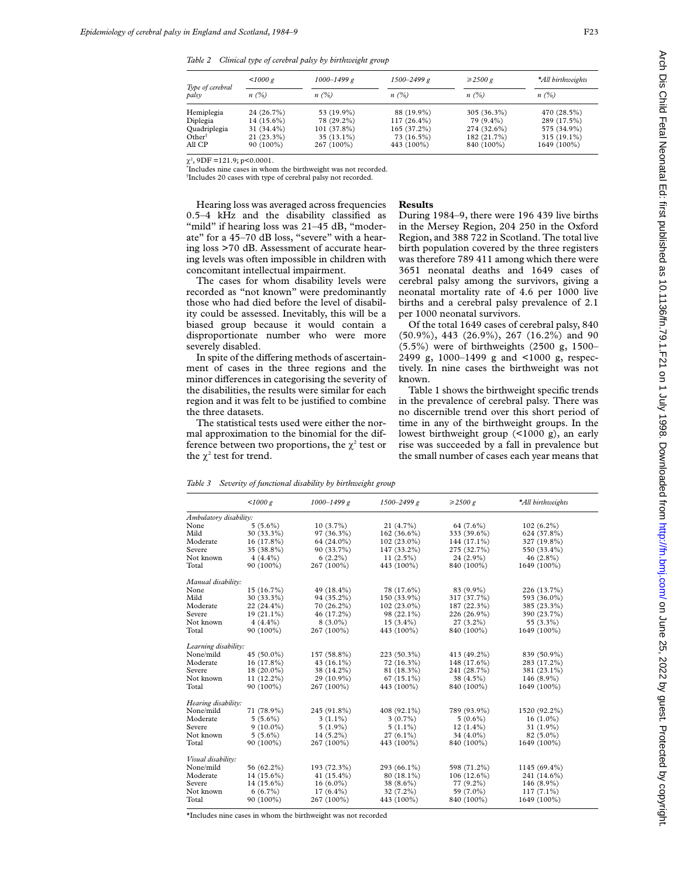*Table 2 Clinical type of cerebral palsy by birthweight group*

|                           | 1000 g       | $1000 - 1499 g$ | $1500 - 2499 g$ | $\geq$ 2500 g | *All birthweights |  |
|---------------------------|--------------|-----------------|-----------------|---------------|-------------------|--|
| Type of cerebral<br>palsv | n(%)         | $n(\%)$         | $n(\%)$         | $n(\%)$       | $n(\%)$           |  |
| Hemiplegia                | 24 (26.7%)   | 53 (19.9%)      | 88 (19.9%)      | $305(36.3\%)$ | 470 (28.5%)       |  |
| Diplegia                  | $14(15.6\%)$ | 78 (29.2%)      | $117(26.4\%)$   | 79 (9.4%)     | 289 (17.5%)       |  |
| Quadriplegia              | 31 (34.4%)   | $101(37.8\%)$   | $165(37.2\%)$   | 274 (32.6%)   | 575 (34.9%)       |  |
| Other†                    | $21(23.3\%)$ | $35(13.1\%)$    | 73 (16.5%)      | 182 (21.7%)   | $315(19.1\%)$     |  |
| All CP                    | $90(100\%)$  | 267 (100%)      | 443 (100%)      | 840 (100%)    | 1649 (100%)       |  |

 $\chi^2$ , 9DF =121.9; p<0.0001.

\* Includes nine cases in whom the birthweight was not recorded.

† Includes 20 cases with type of cerebral palsy not recorded.

Hearing loss was averaged across frequencies 0.5–4 kHz and the disability classified as "mild" if hearing loss was 21-45 dB, "moderate" for a 45–70 dB loss, "severe" with a hearing loss >70 dB. Assessment of accurate hearing levels was often impossible in children with concomitant intellectual impairment.

The cases for whom disability levels were recorded as "not known" were predominantly those who had died before the level of disability could be assessed. Inevitably, this will be a biased group because it would contain a disproportionate number who were more severely disabled.

In spite of the differing methods of ascertainment of cases in the three regions and the minor differences in categorising the severity of the disabilities, the results were similar for each region and it was felt to be justified to combine the three datasets.

The statistical tests used were either the normal approximation to the binomial for the difference between two proportions, the  $\chi^2$  test or the  $\chi^2$  test for trend.

#### **Results**

During 1984–9, there were 196 439 live births in the Mersey Region, 204 250 in the Oxford Region, and 388 722 in Scotland. The total live birth population covered by the three registers was therefore 789 411 among which there were 3651 neonatal deaths and 1649 cases of cerebral palsy among the survivors, giving a neonatal mortality rate of 4.6 per 1000 live births and a cerebral palsy prevalence of 2.1 per 1000 neonatal survivors.

Of the total 1649 cases of cerebral palsy, 840 (50.9%), 443 (26.9%), 267 (16.2%) and 90 (5.5%) were of birthweights (2500 g, 1500– 2499 g, 1000–1499 g and <1000 g, respectively. In nine cases the birthweight was not known.

Table 1 shows the birthweight specific trends in the prevalence of cerebral palsy. There was no discernible trend over this short period of time in any of the birthweight groups. In the lowest birthweight group (<1000 g), an early rise was succeeded by a fall in prevalence but the small number of cases each year means that

*Table 3 Severity of functional disability by birthweight group*

|                        | 1000 g       | $1000 - 1499 g$ | 1500-2499 g   | $\geq$ 2500 g | *All birthweights |
|------------------------|--------------|-----------------|---------------|---------------|-------------------|
| Ambulatory disability: |              |                 |               |               |                   |
| None                   | $5(5.6\%)$   | $10(3.7\%)$     | 21 (4.7%)     | 64 (7.6%)     | $102(6.2\%)$      |
| Mild                   | 30 (33.3%)   | 97 (36.3%)      | $162(36.6\%)$ | 333 (39.6%)   | 624 (37.8%)       |
| Moderate               | 16 (17.8%)   | 64 (24.0%)      | 102 (23.0%)   | 144 (17.1%)   | 327 (19.8%)       |
| Severe                 | 35 (38.8%)   | 90 (33.7%)      | 147 (33.2%)   | 275 (32.7%)   | 550 (33.4%)       |
| Not known              | $4(4.4\%)$   | $6(2.2\%)$      | $11(2.5\%)$   | 24 (2.9%)     | $46(2.8\%)$       |
| Total                  | 90 (100%)    | 267 (100%)      | 443 (100%)    | 840 (100%)    | 1649 (100%)       |
| Manual disability:     |              |                 |               |               |                   |
| None                   | 15 (16.7%)   | 49 (18.4%)      | 78 (17.6%)    | 83 (9.9%)     | 226 (13.7%)       |
| Mild                   | 30 (33.3%)   | 94 (35.2%)      | 150 (33.9%)   | 317 (37.7%)   | 593 (36.0%)       |
| Moderate               | 22 (24.4%)   | 70 (26.2%)      | 102 (23.0%)   | 187 (22.3%)   | 385 (23.3%)       |
| Severe                 | $19(21.1\%)$ | 46 (17.2%)      | 98 (22.1%)    | 226 (26.9%)   | 390 (23.7%)       |
| Not known              | $4(4.4\%)$   | $8(3.0\%)$      | $15(3.4\%)$   | $27(3.2\%)$   | 55 (3.3%)         |
| Total                  | 90 (100%)    | 267 (100%)      | 443 (100%)    | 840 (100%)    | 1649 (100%)       |
| Learning disability:   |              |                 |               |               |                   |
| None/mild              | 45 (50.0%)   | 157 (58.8%)     | 223 (50.3%)   | 413 (49.2%)   | 839 (50.9%)       |
| Moderate               | 16 (17.8%)   | 43 (16.1%)      | 72 (16.3%)    | 148 (17.6%)   | 283 (17.2%)       |
| Severe                 | 18 (20.0%)   | 38 (14.2%)      | 81 (18.3%)    | 241 (28.7%)   | 381 (23.1%)       |
| Not known              | $11(12.2\%)$ | 29 (10.9%)      | $67(15.1\%)$  | 38 (4.5%)     | 146 (8.9%)        |
| Total                  | 90 (100%)    | 267 (100%)      | 443 (100%)    | 840 (100%)    | 1649 (100%)       |
| Hearing disability:    |              |                 |               |               |                   |
| None/mild              | 71 (78.9%)   | 245 (91.8%)     | 408 (92.1%)   | 789 (93.9%)   | 1520 (92.2%)      |
| Moderate               | $5(5.6\%)$   | $3(1.1\%)$      | $3(0.7\%)$    | $5(0.6\%)$    | $16(1.0\%)$       |
| Severe                 | $9(10.0\%)$  | $5(1.9\%)$      | $5(1.1\%)$    | $12(1.4\%)$   | 31 $(1.9\%)$      |
| Not known              | $5(5.6\%)$   | $14(5.2\%)$     | $27(6.1\%)$   | 34 (4.0%)     | $82(5.0\%)$       |
| Total                  | 90 (100%)    | 267 (100%)      | 443 (100%)    | 840 (100%)    | 1649 (100%)       |
| Visual disability:     |              |                 |               |               |                   |
| None/mild              | 56 (62.2%)   | 193 (72.3%)     | 293 (66.1%)   | 598 (71.2%)   | 1145 (69.4%)      |
| Moderate               | 14 (15.6%)   | 41 $(15.4\%)$   | 80 (18.1%)    | $106(12.6\%)$ | 241 (14.6%)       |
| Severe                 | 14 (15.6%)   | $16(6.0\%)$     | 38 (8.6%)     | 77 (9.2%)     | 146 (8.9%)        |
| Not known              | $6(6.7\%)$   | $17(6.4\%)$     | 32 (7.2%)     | 59 (7.0%)     | $117(7.1\%)$      |
| Total                  | 90 (100%)    | 267 (100%)      | 443 (100%)    | 840 (100%)    | 1649 (100%)       |

\*Includes nine cases in whom the birthweight was not recorded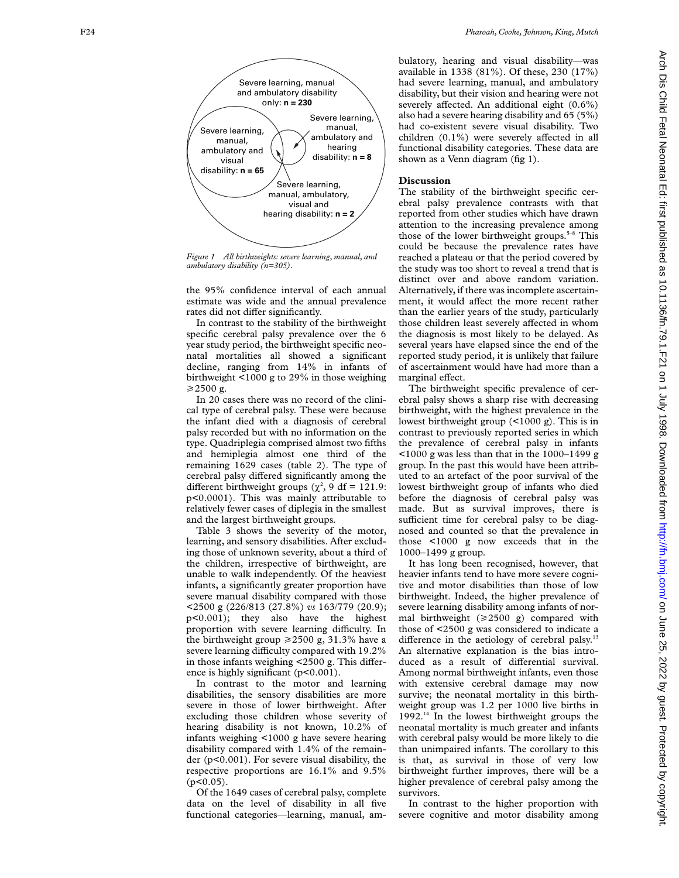

*Figure 1 All birthweights: severe learning, manual, and ambulatory disability (n=305).*

the 95% confidence interval of each annual estimate was wide and the annual prevalence rates did not differ significantly.

In contrast to the stability of the birthweight specific cerebral palsy prevalence over the 6 year study period, the birthweight specific neonatal mortalities all showed a significant decline, ranging from 14% in infants of birthweight <1000 g to 29% in those weighing  $\geq$ 2500 g.

In 20 cases there was no record of the clinical type of cerebral palsy. These were because the infant died with a diagnosis of cerebral palsy recorded but with no information on the type. Quadriplegia comprised almost two fifths and hemiplegia almost one third of the remaining 1629 cases (table 2). The type of cerebral palsy differed significantly among the different birthweight groups  $(\chi^2, 9)$  df = 121.9: p<0.0001). This was mainly attributable to relatively fewer cases of diplegia in the smallest and the largest birthweight groups.

Table 3 shows the severity of the motor, learning, and sensory disabilities. After excluding those of unknown severity, about a third of the children, irrespective of birthweight, are unable to walk independently. Of the heaviest infants, a significantly greater proportion have severe manual disability compared with those <2500 g (226/813 (27.8%) *vs* 163/779 (20.9); p<0.001); they also have the highest proportion with severe learning difficulty. In the birthweight group  $\geq 2500$  g, 31.3% have a severe learning difficulty compared with 19.2% in those infants weighing  $\lt 2500$  g. This difference is highly significant (p<0.001).

In contrast to the motor and learning disabilities, the sensory disabilities are more severe in those of lower birthweight. After excluding those children whose severity of hearing disability is not known, 10.2% of infants weighing <1000 g have severe hearing disability compared with 1.4% of the remainder (p<0.001). For severe visual disability, the respective proportions are 16.1% and 9.5%  $(p<0.05)$ .

Of the 1649 cases of cerebral palsy, complete data on the level of disability in all five functional categories—learning, manual, ambulatory, hearing and visual disability—was available in 1338 (81%). Of these, 230 (17%) had severe learning, manual, and ambulatory disability, but their vision and hearing were not severely affected. An additional eight (0.6%) also had a severe hearing disability and 65 (5%) had co-existent severe visual disability. Two children  $(0.1\%)$  were severely affected in all functional disability categories. These data are shown as a Venn diagram (fig 1).

### **Discussion**

The stability of the birthweight specific cerebral palsy prevalence contrasts with that reported from other studies which have drawn attention to the increasing prevalence among those of the lower birthweight groups.<sup>5-8</sup> This could be because the prevalence rates have reached a plateau or that the period covered by the study was too short to reveal a trend that is distinct over and above random variation. Alternatively, if there was incomplete ascertainment, it would affect the more recent rather than the earlier years of the study, particularly those children least severely affected in whom the diagnosis is most likely to be delayed. As several years have elapsed since the end of the reported study period, it is unlikely that failure of ascertainment would have had more than a marginal effect.

The birthweight specific prevalence of cerebral palsy shows a sharp rise with decreasing birthweight, with the highest prevalence in the lowest birthweight group (<1000 g). This is in contrast to previously reported series in which the prevalence of cerebral palsy in infants  $\leq$ 1000 g was less than that in the 1000–1499 g group. In the past this would have been attributed to an artefact of the poor survival of the lowest birthweight group of infants who died before the diagnosis of cerebral palsy was made. But as survival improves, there is sufficient time for cerebral palsy to be diagnosed and counted so that the prevalence in those <1000 g now exceeds that in the 1000–1499 g group.

It has long been recognised, however, that heavier infants tend to have more severe cognitive and motor disabilities than those of low birthweight. Indeed, the higher prevalence of severe learning disability among infants of normal birthweight  $(\geq 2500 \text{ g})$  compared with those of <2500 g was considered to indicate a difference in the aetiology of cerebral palsy.<sup>13</sup> An alternative explanation is the bias introduced as a result of differential survival. Among normal birthweight infants, even those with extensive cerebral damage may now survive; the neonatal mortality in this birthweight group was 1.2 per 1000 live births in  $1992<sup>14</sup>$  In the lowest birthweight groups the neonatal mortality is much greater and infants with cerebral palsy would be more likely to die than unimpaired infants. The corollary to this is that, as survival in those of very low birthweight further improves, there will be a higher prevalence of cerebral palsy among the survivors.

In contrast to the higher proportion with severe cognitive and motor disability among